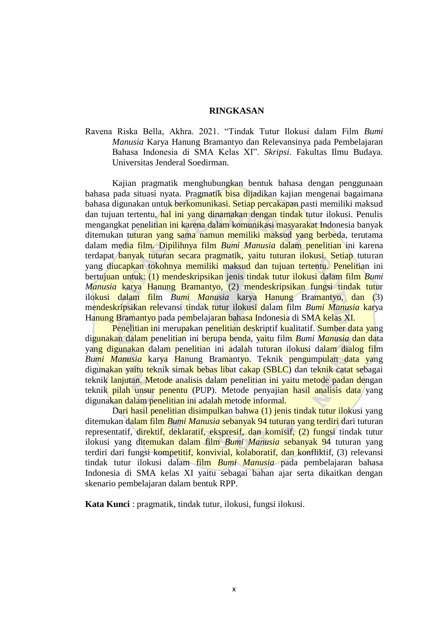## **RINGKASAN**

Ravena Riska Bella, Akhra. 2021. "Tindak Tutur Ilokusi dalam Film *Bumi Manusia* Karya Hanung Bramantyo dan Relevansinya pada Pembelajaran Bahasa Indonesia di SMA Kelas XI". *Skripsi*. Fakultas Ilmu Budaya. Universitas Jenderal Soedirman.

Kajian pragmatik menghubungkan bentuk bahasa dengan penggunaan bahasa pada situasi nyata. Pragmatik bisa dijadikan kajian mengenai bagaimana bahasa digunakan untuk berkomunikasi. Setiap percakapan pasti memiliki maksud dan tujuan tertentu, hal ini yang dinamakan dengan tindak tutur ilokusi. Penulis mengangkat penelitian ini karena dalam komunikasi masyarakat Indonesia banyak ditemukan tuturan yang sama namun memiliki maksud yang berbeda, terutama dalam media film. Dipilihnya film *Bumi Manusia* dalam penelitian ini karena terdapat banyak tuturan secara pragmatik, yaitu tuturan ilokusi. Setiap tuturan yang diucapkan tokohnya memiliki maksud dan tujuan tertentu. Penelitian ini bertujuan untuk: (1) mendeskripsikan jenis tindak tutur ilokusi dalam film *Bumi Manusia* karya Hanung Bramantyo, (2) mendeskripsikan fungsi tindak tutur ilokusi dalam film *Bumi Manusia* karya Hanung Bramantyo, dan (3) mendeskripsikan relevansi tindak tutur ilokusi dalam film *Bumi Manusia* karya Hanung Bramantyo pada pembelajaran bahasa Indonesia di SMA kelas XI.

Penelitian ini merupakan penelitian deskriptif kualitatif. Sumber data yang digunakan dalam penelitian ini berupa benda, yaitu film *Bumi Manusia* dan data yang digunakan dalam penelitian ini adalah tuturan ilokusi dalam dialog film *Bumi Manusia* karya Hanung Bramantyo. Teknik pengumpulan data yang digunakan yaitu teknik simak bebas libat cakap (SBLC) dan teknik catat sebagai teknik lanjutan. Metode analisis dalam penelitian ini yaitu metode padan dengan teknik pilah unsur penentu (PUP). Metode penyajian hasil analisis data yang digunakan dalam penelitian ini adalah metode informal.

Dari hasil penelitian disimpulkan bahwa (1) jenis tindak tutur ilokusi yang ditemukan dalam film *Bumi Manusia* sebanyak 94 tuturan yang terdiri dari tuturan representatif, direktif, deklaratif, ekspresif, dan komisif, (2) fungsi tindak tutur ilokusi yang ditemukan dalam film *Bumi Manusia* sebanyak 94 tuturan yang terdiri dari fungsi kompetitif, konvivial, kolaboratif, dan konfliktif, (3) relevansi tindak tutur ilokusi dalam film *Bumi Manusia* pada pembelajaran bahasa Indonesia di SMA kelas XI yaitu sebagai bahan ajar serta dikaitkan dengan skenario pembelajaran dalam bentuk RPP.

**Kata Kunci** : pragmatik, tindak tutur, ilokusi, fungsi ilokusi.